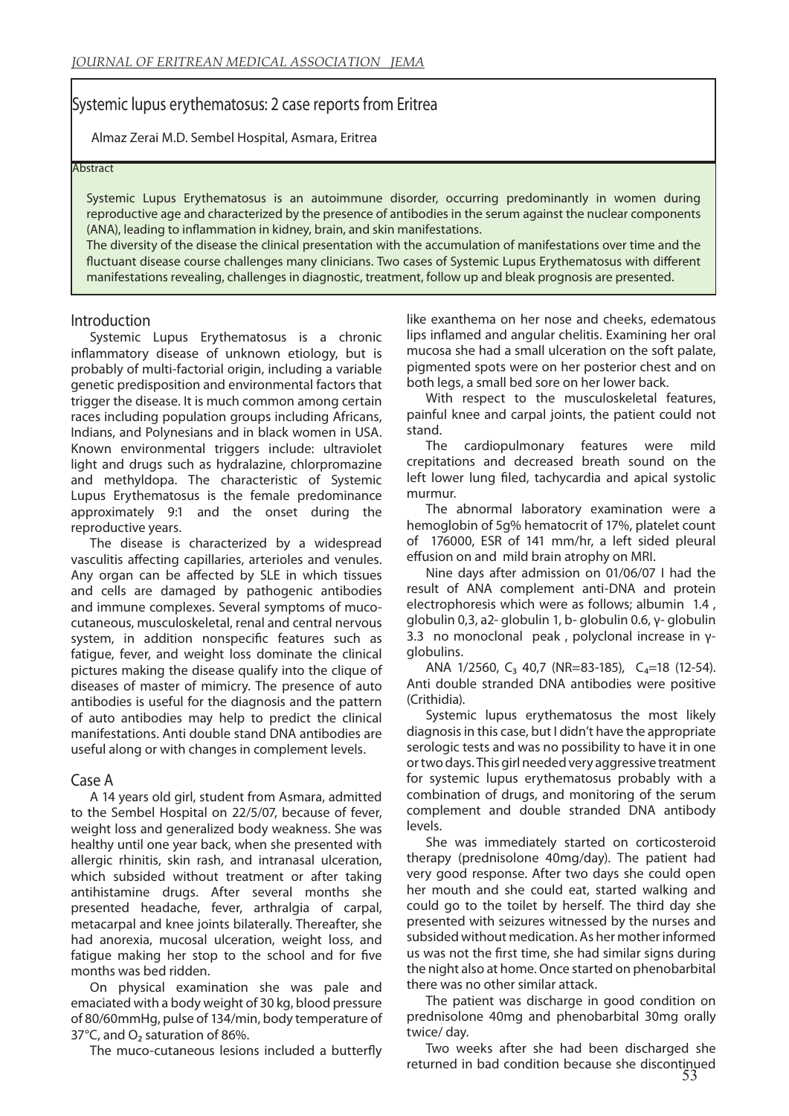# Systemic lupus erythematosus: 2 case reports from Eritrea

Almaz Zerai M.D. Sembel Hospital, Asmara, Eritrea

#### **Abstract**

Systemic Lupus Erythematosus is an autoimmune disorder, occurring predominantly in women during reproductive age and characterized by the presence of antibodies in the serum against the nuclear components (ANA), leading to inflammation in kidney, brain, and skin manifestations.

The diversity of the disease the clinical presentation with the accumulation of manifestations over time and the fluctuant disease course challenges many clinicians. Two cases of Systemic Lupus Erythematosus with different manifestations revealing, challenges in diagnostic, treatment, follow up and bleak prognosis are presented.

### Introduction

Systemic Lupus Erythematosus is a chronic inflammatory disease of unknown etiology, but is probably of multi-factorial origin, including a variable genetic predisposition and environmental factors that trigger the disease. It is much common among certain races including population groups including Africans, Indians, and Polynesians and in black women in USA. Known environmental triggers include: ultraviolet light and drugs such as hydralazine, chlorpromazine and methyldopa. The characteristic of Systemic Lupus Erythematosus is the female predominance approximately 9:1 and the onset during the reproductive years.

The disease is characterized by a widespread vasculitis affecting capillaries, arterioles and venules. Any organ can be affected by SLE in which tissues and cells are damaged by pathogenic antibodies and immune complexes. Several symptoms of mucocutaneous, musculoskeletal, renal and central nervous system, in addition nonspecific features such as fatigue, fever, and weight loss dominate the clinical pictures making the disease qualify into the clique of diseases of master of mimicry. The presence of auto antibodies is useful for the diagnosis and the pattern of auto antibodies may help to predict the clinical manifestations. Anti double stand DNA antibodies are useful along or with changes in complement levels.

### Case A

A 14 years old girl, student from Asmara, admitted to the Sembel Hospital on 22/5/07, because of fever, weight loss and generalized body weakness. She was healthy until one year back, when she presented with allergic rhinitis, skin rash, and intranasal ulceration, which subsided without treatment or after taking antihistamine drugs. After several months she presented headache, fever, arthralgia of carpal, metacarpal and knee joints bilaterally. Thereafter, she had anorexia, mucosal ulceration, weight loss, and fatigue making her stop to the school and for five months was bed ridden.

On physical examination she was pale and emaciated with a body weight of 30 kg, blood pressure of 80/60mmHg, pulse of 134/min, body temperature of 37°C, and O<sub>2</sub> saturation of 86%.

The muco-cutaneous lesions included a butterfly

like exanthema on her nose and cheeks, edematous lips inflamed and angular chelitis. Examining her oral mucosa she had a small ulceration on the soft palate, pigmented spots were on her posterior chest and on both legs, a small bed sore on her lower back.

With respect to the musculoskeletal features, painful knee and carpal joints, the patient could not stand.

The cardiopulmonary features were mild crepitations and decreased breath sound on the left lower lung filed, tachycardia and apical systolic murmur.

The abnormal laboratory examination were a hemoglobin of 5g% hematocrit of 17%, platelet count of 176000, ESR of 141 mm/hr, a left sided pleural effusion on and mild brain atrophy on MRI.

Nine days after admission on 01/06/07 I had the result of ANA complement anti-DNA and protein electrophoresis which were as follows; albumin 1.4 , globulin 0,3, a2- globulin 1, b- globulin 0.6, γ- globulin 3.3 no monoclonal peak , polyclonal increase in γglobulins.

ANA 1/2560, C<sub>3</sub> 40,7 (NR=83-185), C<sub>4</sub>=18 (12-54). Anti double stranded DNA antibodies were positive (Crithidia).

Systemic lupus erythematosus the most likely diagnosis in this case, but I didn't have the appropriate serologic tests and was no possibility to have it in one or two days. This girl needed very aggressive treatment for systemic lupus erythematosus probably with a combination of drugs, and monitoring of the serum complement and double stranded DNA antibody levels.

She was immediately started on corticosteroid therapy (prednisolone 40mg/day). The patient had very good response. After two days she could open her mouth and she could eat, started walking and could go to the toilet by herself. The third day she presented with seizures witnessed by the nurses and subsided without medication. As her mother informed us was not the first time, she had similar signs during the night also at home. Once started on phenobarbital there was no other similar attack.

The patient was discharge in good condition on prednisolone 40mg and phenobarbital 30mg orally twice/ day.

Two weeks after she had been discharged she returned in bad condition because she discontinued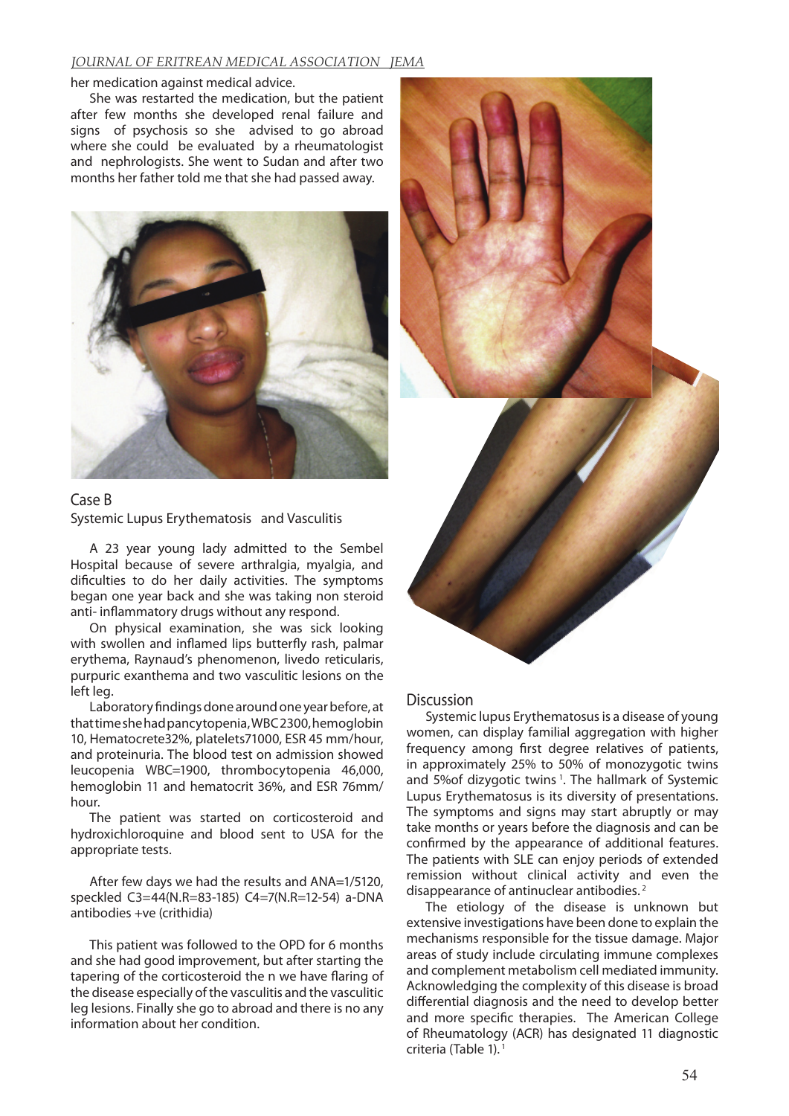### *JOURNAL OF ERITREAN MEDICAL ASSOCIATION JEMA*

#### her medication against medical advice.

She was restarted the medication, but the patient after few months she developed renal failure and signs of psychosis so she advised to go abroad where she could be evaluated by a rheumatologist and nephrologists. She went to Sudan and after two months her father told me that she had passed away.



## Case B Systemic Lupus Erythematosis and Vasculitis

A 23 year young lady admitted to the Sembel Hospital because of severe arthralgia, myalgia, and dificulties to do her daily activities. The symptoms began one year back and she was taking non steroid anti- inflammatory drugs without any respond.

On physical examination, she was sick looking with swollen and inflamed lips butterfly rash, palmar erythema, Raynaud's phenomenon, livedo reticularis, purpuric exanthema and two vasculitic lesions on the left leg.

Laboratory findings done around one year before, at that time she had pancytopenia, WBC 2300, hemoglobin 10, Hematocrete32%, platelets71000, ESR 45 mm/hour, and proteinuria. The blood test on admission showed leucopenia WBC=1900, thrombocytopenia 46,000, hemoglobin 11 and hematocrit 36%, and ESR 76mm/ hour.

The patient was started on corticosteroid and hydroxichloroquine and blood sent to USA for the appropriate tests.

After few days we had the results and ANA=1/5120, speckled C3=44(N.R=83-185) C4=7(N.R=12-54) a-DNA antibodies +ve (crithidia)

This patient was followed to the OPD for 6 months and she had good improvement, but after starting the tapering of the corticosteroid the n we have flaring of the disease especially of the vasculitis and the vasculitic leg lesions. Finally she go to abroad and there is no any information about her condition.



# **Discussion**

Systemic lupus Erythematosus is a disease of young women, can display familial aggregation with higher frequency among first degree relatives of patients, in approximately 25% to 50% of monozygotic twins and 5% of dizygotic twins<sup>1</sup>. The hallmark of Systemic Lupus Erythematosus is its diversity of presentations. The symptoms and signs may start abruptly or may take months or years before the diagnosis and can be confirmed by the appearance of additional features. The patients with SLE can enjoy periods of extended remission without clinical activity and even the disappearance of antinuclear antibodies. 2

The etiology of the disease is unknown but extensive investigations have been done to explain the mechanisms responsible for the tissue damage. Major areas of study include circulating immune complexes and complement metabolism cell mediated immunity. Acknowledging the complexity of this disease is broad differential diagnosis and the need to develop better and more specific therapies. The American College of Rheumatology (ACR) has designated 11 diagnostic criteria (Table 1). 1